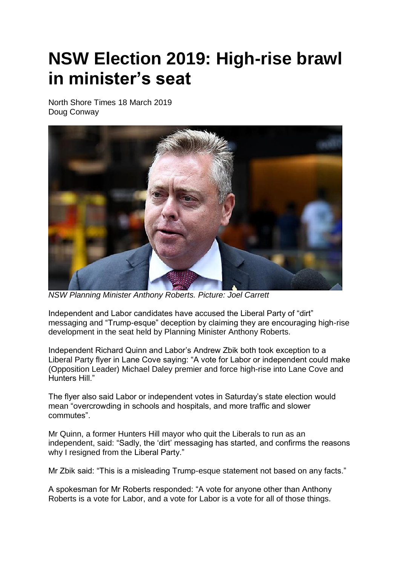## **NSW Election 2019: High-rise brawl in minister's seat**

North Shore Times 18 March 2019 Doug Conway



*NSW Planning Minister Anthony Roberts. Picture: Joel Carrett*

Independent and Labor candidates have accused the Liberal Party of "dirt" messaging and "Trump-esque" deception by claiming they are encouraging high-rise development in the seat held by Planning Minister Anthony Roberts.

Independent Richard Quinn and Labor's Andrew Zbik both took exception to a Liberal Party flyer in Lane Cove saying: "A vote for Labor or independent could make (Opposition Leader) Michael Daley premier and force high-rise into Lane Cove and Hunters Hill."

The flyer also said Labor or independent votes in Saturday's state election would mean "overcrowding in schools and hospitals, and more traffic and slower commutes".

Mr Quinn, a former Hunters Hill mayor who quit the Liberals to run as an independent, said: "Sadly, the 'dirt' messaging has started, and confirms the reasons why I resigned from the Liberal Party."

Mr Zbik said: "This is a misleading Trump-esque statement not based on any facts."

A spokesman for Mr Roberts responded: "A vote for anyone other than Anthony Roberts is a vote for Labor, and a vote for Labor is a vote for all of those things.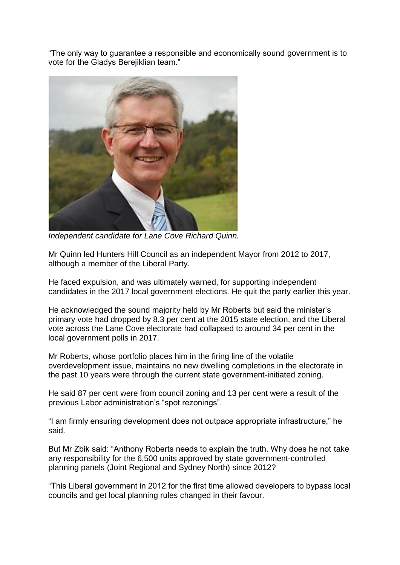"The only way to guarantee a responsible and economically sound government is to vote for the Gladys Berejiklian team."



*Independent candidate for Lane Cove Richard Quinn.*

Mr Quinn led Hunters Hill Council as an independent Mayor from 2012 to 2017, although a member of the Liberal Party.

He faced expulsion, and was ultimately warned, for supporting independent candidates in the 2017 local government elections. He quit the party earlier this year.

He acknowledged the sound majority held by Mr Roberts but said the minister's primary vote had dropped by 8.3 per cent at the 2015 state election, and the Liberal vote across the Lane Cove electorate had collapsed to around 34 per cent in the local government polls in 2017.

Mr Roberts, whose portfolio places him in the firing line of the volatile overdevelopment issue, maintains no new dwelling completions in the electorate in the past 10 years were through the current state government-initiated zoning.

He said 87 per cent were from council zoning and 13 per cent were a result of the previous Labor administration's "spot rezonings".

"I am firmly ensuring development does not outpace appropriate infrastructure," he said.

But Mr Zbik said: "Anthony Roberts needs to explain the truth. Why does he not take any responsibility for the 6,500 units approved by state government-controlled planning panels (Joint Regional and Sydney North) since 2012?

"This Liberal government in 2012 for the first time allowed developers to bypass local councils and get local planning rules changed in their favour.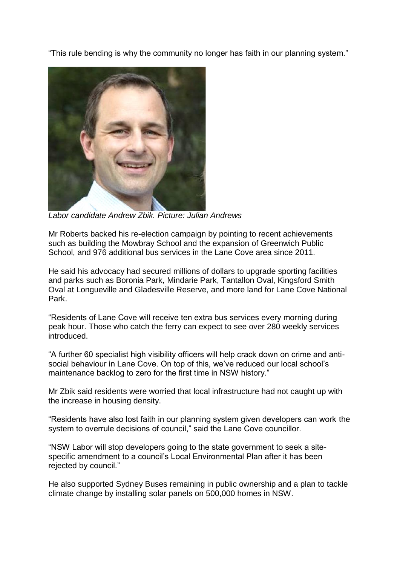"This rule bending is why the community no longer has faith in our planning system."



*Labor candidate Andrew Zbik. Picture: Julian Andrews*

Mr Roberts backed his re-election campaign by pointing to recent achievements such as building the Mowbray School and the expansion of Greenwich Public School, and 976 additional bus services in the Lane Cove area since 2011.

He said his advocacy had secured millions of dollars to upgrade sporting facilities and parks such as Boronia Park, Mindarie Park, Tantallon Oval, Kingsford Smith Oval at Longueville and Gladesville Reserve, and more land for Lane Cove National Park.

"Residents of Lane Cove will receive ten extra bus services every morning during peak hour. Those who catch the ferry can expect to see over 280 weekly services introduced.

"A further 60 specialist high visibility officers will help crack down on crime and antisocial behaviour in Lane Cove. On top of this, we've reduced our local school's maintenance backlog to zero for the first time in NSW history."

Mr Zbik said residents were worried that local infrastructure had not caught up with the increase in housing density.

"Residents have also lost faith in our planning system given developers can work the system to overrule decisions of council," said the Lane Cove councillor.

"NSW Labor will stop developers going to the state government to seek a sitespecific amendment to a council's Local Environmental Plan after it has been rejected by council."

He also supported Sydney Buses remaining in public ownership and a plan to tackle climate change by installing solar panels on 500,000 homes in NSW.